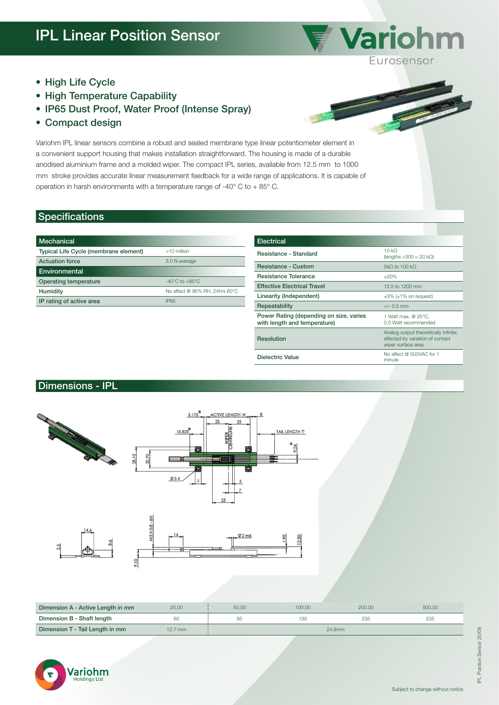

- High Life Cycle
- High Temperature Capability
- IP65 Dust Proof, Water Proof (Intense Spray)
- Compact design

Variohm IPL linear sensors combine a robust and sealed membrane type linear potentiometer element in a convenient support housing that makes installation straightforward. The housing is made of a durable anodised aluminium frame and a molded wiper. The compact IPL series, available from 12.5 mm to 1000 mm stroke provides accurate linear measurement feedback for a wide range of applications. It is capable of operation in harsh environments with a temperature range of -40° C to + 85° C.

## Specifications

| Mechanical                            |                                    |
|---------------------------------------|------------------------------------|
| Typical Life Cycle (membrane element) | $>10$ million                      |
| <b>Actuation force</b>                | 3.0 N average                      |
| Environmental                         |                                    |
| Operating temperature                 | $-40^{\circ}$ C to $+85^{\circ}$ C |
| Humidity                              | No affect @ 95% RH, 24hrs 60°C     |
| IP rating of active area              | <b>IP65</b>                        |

| <b>Electrical</b>                                                       |                                                                                                  |  |  |
|-------------------------------------------------------------------------|--------------------------------------------------------------------------------------------------|--|--|
| <b>Resistance - Standard</b>                                            | 10 kO<br>$(lenaths > 300 = 20 kΩ)$                                                               |  |  |
| <b>Resistance - Custom</b>                                              | 5kO to 100 kO                                                                                    |  |  |
| Resistance Tolerance                                                    | ±20%                                                                                             |  |  |
| <b>Effective Electrical Travel</b>                                      | 12.5 to 1200 mm                                                                                  |  |  |
| Linearity (Independent)                                                 | $\pm 3\%$ ( $\pm 1\%$ on request)                                                                |  |  |
| Repeatability                                                           | $+/- 0.5$ mm                                                                                     |  |  |
| Power Rating (depending on size, varies<br>with length and temperature) | 1 Watt max. @ 25°C,<br>0.5 Watt recommended                                                      |  |  |
| <b>Resolution</b>                                                       | Analog output theoretically infinite;<br>affected by variation of contact<br>wiper surface area. |  |  |
| Dielectric Value                                                        | No affect @ 500VAC for 1<br>minute                                                               |  |  |

## Dimensions - IPL



| Dimension A - Active Length in mm | 25.00     | 50.00  | 100.00 | 200.00 | 500.00 |
|-----------------------------------|-----------|--------|--------|--------|--------|
| Dimension B - Shaft length        | 60        |        | 135    | 235    | 535    |
| Dimension T - Tail Length in mm   | $12.7$ mm | 24.9mm |        |        |        |



Ï